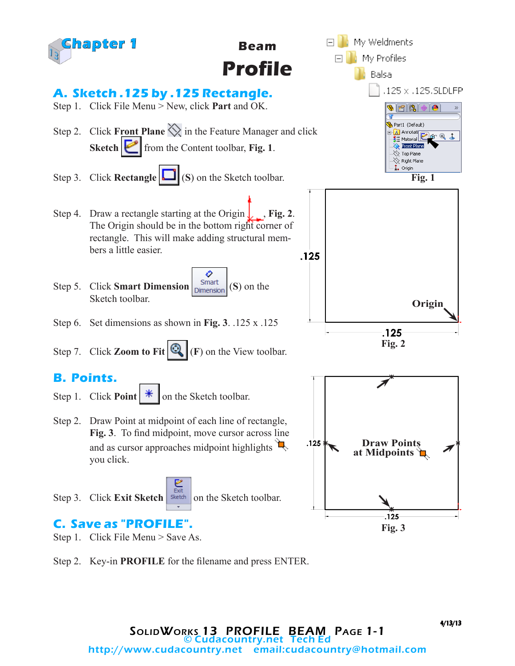

**Beam Profile**



#### **A. Sketch .125 by .125 Rectangle.**

- Step 1. Click File Menu > New, click **Part** and OK.
- Step 2. Click **Front Plane**  $\Diamond$  in the Feature Manager and click **Sketch from the Content toolbar, Fig. 1.**
- Step 3. Click **Rectangle [100]** (S) on the Sketch toolbar.
- Step 4. Draw a rectangle starting at the Origin  $\int$ , **Fig. 2**. The Origin should be in the bottom right corner of rectangle. This will make adding structural members a little easier.
- O Step 5. Click **Smart Dimension**  $\begin{bmatrix}$  Smart  $\end{bmatrix}$  (S) on the Sketch toolbar.
- Step 6. Set dimensions as shown in **Fig. 3**. .125 x .125
- Step 7. Click **Zoom to Fit**  $\mathbb{Q}_n$  (**F**) on the View toolbar.

#### **B. Points.**

- Step 1. Click **Point**  $\mathbb{R}$  on the Sketch toolbar.
- Step 2. Draw Point at midpoint of each line of rectangle, **Fig. 3**. To find midpoint, move cursor across line and as cursor approaches midpoint highlights  $\Box$ you click.
- Step 3. Click **Exit Sketch** sketch on the Sketch toolbar.

# **C. Save as "PROFILE".**

- Step 1. Click File Menu > Save As.
- Step 2. Key-in **PROFILE** for the filename and press ENTER.

4/13/13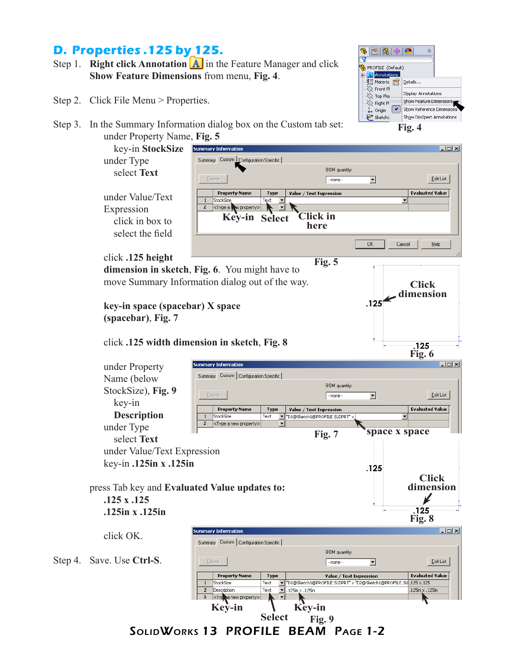### **D. Properties .125 by 125.**

- Step 1. **Right click Annotation A** in the Feature Manager and click **Show Feature Dimensions** from menu, **Fig. 4**.
- Step 2. Click File Menu > Properties.



under Property Name, **Fig. 5**



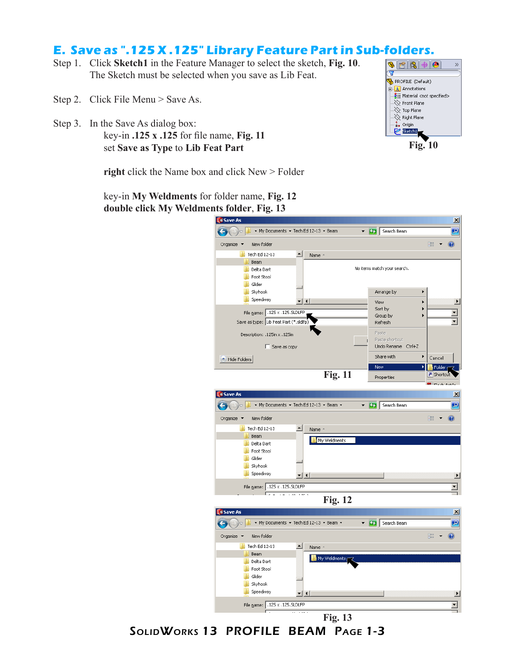#### **E. Save as ".125 X .125" Library Feature Part in Sub-folders.**

- Step 1. Click **Sketch1** in the Feature Manager to select the sketch, **Fig. 10**. The Sketch must be selected when you save as Lib Feat.
- Step 2. Click File Menu > Save As.
- Step 3. In the Save As dialog box: key-in **.125 x .125** for file name, **Fig. 11** set **Save as Type** to **Lib Feat Part**

key-in **My Weldments** for folder name, **Fig. 12 double click My Weldments folder**, **Fig. 13**

**right** click the Name box and click New > Folder



**Fig. 10**



SolidWorks 13 PROFILE BEAM Page 1-3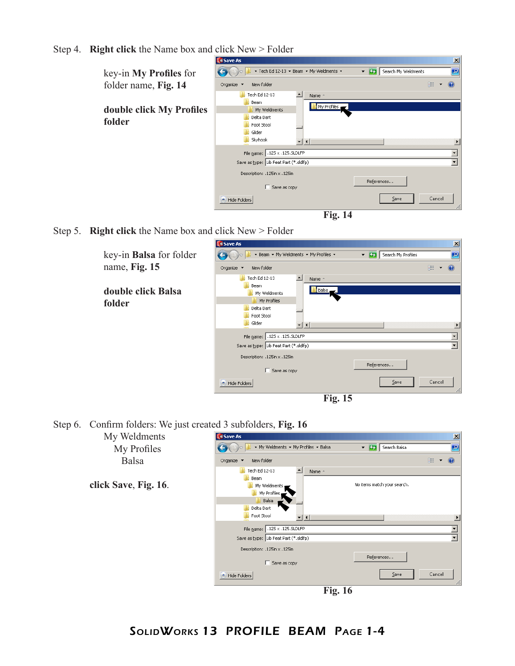Step 4. **Right click** the Name box and click New > Folder

| ⊃                                  | <b>SW Save As</b>                                                                                                                                                        | $\mathbf{x}$         |
|------------------------------------|--------------------------------------------------------------------------------------------------------------------------------------------------------------------------|----------------------|
| key-in My Profiles for             | ▼ Tech Ed 12-13 ▼ Beam ▼ My Weldments ▼<br>$-12$<br>Search My Weldments                                                                                                  | $\bullet$            |
| folder name, Fig. 14               | Organize $\blacktriangledown$<br>New folder                                                                                                                              | 肛                    |
| double click My Profiles<br>folder | $\left  \bullet \right $<br>Tech Ed 12-13<br>Name -<br>Beam<br>My Profiles<br>My Weldments<br>Delta Dart<br>Foot Stool<br>Glider<br>Skyhook<br>$\mathbf{r}$ $\mathbf{I}$ |                      |
|                                    | $.125 \times .125$ .SLDLFP<br>File name:<br>Save as type: Lib Feat Part (*.sldlfp)<br>Description: .125in x .125in<br>References                                         | $\blacktriangledown$ |
|                                    | Save as copy<br>$S$ ave<br>Hide Folders                                                                                                                                  | Cancel<br>h          |
|                                    | <b>Fig. 14</b>                                                                                                                                                           |                      |

Step 5. **Right click** the Name box and click New > Folder



Step 6. Confirm folders: We just created 3 subfolders, **Fig. 16**

| My Weldments         | <b>SW Save As</b>                                                                          | $\mathbf{x}$                           |  |
|----------------------|--------------------------------------------------------------------------------------------|----------------------------------------|--|
| My Profiles          | ▼ My Weldments ▼ My Profiles ▼ Balsa                                                       | $ \alpha$<br>Search Balsa<br>$\bullet$ |  |
| <b>Balsa</b>         | Organize $\blacktriangledown$<br>New folder                                                | 2<br>⊪ →                               |  |
|                      | $\blacktriangle$<br>Tech Ed 12-13<br>Name -<br>Beam                                        |                                        |  |
| click Save, Fig. 16. | My Weldments<br>My Profiles,<br>Balsa                                                      | No items match your search.            |  |
|                      | Delta Dart<br>Foot Stool<br>$\mathbf{r}$   $\mathbf{t}$  <br>File name: .125 x .125.SLDLFP |                                        |  |
|                      | Save as type: Lib Feat Part (*.sldlfp)                                                     | $\blacktriangledown$                   |  |
|                      | Description: .125in x .125in                                                               |                                        |  |
|                      | Save as copy                                                                               | References                             |  |
|                      | Hide Folders                                                                               | Cancel<br>Save                         |  |
|                      | <b>Fig. 16</b>                                                                             |                                        |  |